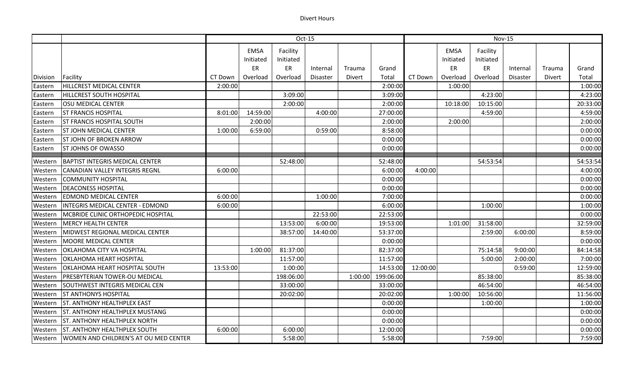## Divert Hours

|          |                                           | Oct-15   |             |           |                 |               | <b>Nov-15</b> |          |             |           |                 |               |          |
|----------|-------------------------------------------|----------|-------------|-----------|-----------------|---------------|---------------|----------|-------------|-----------|-----------------|---------------|----------|
|          |                                           |          | <b>EMSA</b> | Facility  |                 |               |               |          | <b>EMSA</b> | Facility  |                 |               |          |
|          |                                           |          | Initiated   | Initiated |                 |               |               |          | Initiated   | Initiated |                 |               |          |
|          |                                           |          | ER          | ER        | Internal        | Trauma        | Grand         |          | ER          | ER        | Internal        | Trauma        | Grand    |
| Division | Facility                                  | CT Down  | Overload    | Overload  | <b>Disaster</b> | <b>Divert</b> | Total         | CT Down  | Overload    | Overload  | <b>Disaster</b> | <b>Divert</b> | Total    |
| Eastern  | <b>HILLCREST MEDICAL CENTER</b>           | 2:00:00  |             |           |                 |               | 2:00:00       |          | 1:00:00     |           |                 |               | 1:00:00  |
| Eastern  | <b>HILLCREST SOUTH HOSPITAL</b>           |          |             | 3:09:00   |                 |               | 3:09:00       |          |             | 4:23:00   |                 |               | 4:23:00  |
| Eastern  | <b>OSU MEDICAL CENTER</b>                 |          |             | 2:00:00   |                 |               | 2:00:00       |          | 10:18:00    | 10:15:00  |                 |               | 20:33:00 |
| Eastern  | <b>ST FRANCIS HOSPITAL</b>                | 8:01:00  | 14:59:00    |           | 4:00:00         |               | 27:00:00      |          |             | 4:59:00   |                 |               | 4:59:00  |
| Eastern  | <b>ST FRANCIS HOSPITAL SOUTH</b>          |          | 2:00:00     |           |                 |               | 2:00:00       |          | 2:00:00     |           |                 |               | 2:00:00  |
| Eastern  | <b>ST JOHN MEDICAL CENTER</b>             | 1:00:00  | 6:59:00     |           | 0:59:00         |               | 8:58:00       |          |             |           |                 |               | 0:00:00  |
| Eastern  | <b>ST JOHN OF BROKEN ARROW</b>            |          |             |           |                 |               | 0:00:00       |          |             |           |                 |               | 0:00:00  |
| Eastern  | <b>ST JOHNS OF OWASSO</b>                 |          |             |           |                 |               | 0:00:00       |          |             |           |                 |               | 0:00:00  |
| Western  | <b>BAPTIST INTEGRIS MEDICAL CENTER</b>    |          |             | 52:48:00  |                 |               | 52:48:00      |          |             | 54:53:54  |                 |               | 54:53:54 |
| Western  | <b>CANADIAN VALLEY INTEGRIS REGNL</b>     | 6:00:00  |             |           |                 |               | 6:00:00       | 4:00:00  |             |           |                 |               | 4:00:00  |
| Western  | <b>COMMUNITY HOSPITAL</b>                 |          |             |           |                 |               | 0:00:00       |          |             |           |                 |               | 0:00:00  |
| Western  | <b>DEACONESS HOSPITAL</b>                 |          |             |           |                 |               | 0:00:00       |          |             |           |                 |               | 0:00:00  |
| Western  | <b>EDMOND MEDICAL CENTER</b>              | 6:00:00  |             |           | 1:00:00         |               | 7:00:00       |          |             |           |                 |               | 0:00:00  |
| Western  | <b>INTEGRIS MEDICAL CENTER - EDMOND</b>   | 6:00:00  |             |           |                 |               | 6:00:00       |          |             | 1:00:00   |                 |               | 1:00:00  |
| Western  | <b>MCBRIDE CLINIC ORTHOPEDIC HOSPITAL</b> |          |             |           | 22:53:00        |               | 22:53:00      |          |             |           |                 |               | 0:00:00  |
| Western  | <b>MERCY HEALTH CENTER</b>                |          |             | 13:53:00  | 6:00:00         |               | 19:53:00      |          | 1:01:00     | 31:58:00  |                 |               | 32:59:00 |
| Western  | MIDWEST REGIONAL MEDICAL CENTER           |          |             | 38:57:00  | 14:40:00        |               | 53:37:00      |          |             | 2:59:00   | 6:00:00         |               | 8:59:00  |
| Western  | <b>MOORE MEDICAL CENTER</b>               |          |             |           |                 |               | 0:00:00       |          |             |           |                 |               | 0:00:00  |
| Western  | <b>OKLAHOMA CITY VA HOSPITAL</b>          |          | 1:00:00     | 81:37:00  |                 |               | 82:37:00      |          |             | 75:14:58  | 9:00:00         |               | 84:14:58 |
| Western  | <b>OKLAHOMA HEART HOSPITAL</b>            |          |             | 11:57:00  |                 |               | 11:57:00      |          |             | 5:00:00   | 2:00:00         |               | 7:00:00  |
| Western  | OKLAHOMA HEART HOSPITAL SOUTH             | 13:53:00 |             | 1:00:00   |                 |               | 14:53:00      | 12:00:00 |             |           | 0:59:00         |               | 12:59:00 |
| Western  | PRESBYTERIAN TOWER-OU MEDICAL             |          |             | 198:06:00 |                 | 1:00:00       | 199:06:00     |          |             | 85:38:00  |                 |               | 85:38:00 |
| Western  | SOUTHWEST INTEGRIS MEDICAL CEN            |          |             | 33:00:00  |                 |               | 33:00:00      |          |             | 46:54:00  |                 |               | 46:54:00 |
| Western  | <b>ST ANTHONYS HOSPITAL</b>               |          |             | 20:02:00  |                 |               | 20:02:00      |          | 1:00:00     | 10:56:00  |                 |               | 11:56:00 |
| Western  | <b>ST. ANTHONY HEALTHPLEX EAST</b>        |          |             |           |                 |               | 0:00:00       |          |             | 1:00:00   |                 |               | 1:00:00  |
| Western  | <b>ST. ANTHONY HEALTHPLEX MUSTANG</b>     |          |             |           |                 |               | 0:00:00       |          |             |           |                 |               | 0:00:00  |
| Western  | <b>ST. ANTHONY HEALTHPLEX NORTH</b>       |          |             |           |                 |               | 0:00:00       |          |             |           |                 |               | 0:00:00  |
| Western  | <b>ST. ANTHONY HEALTHPLEX SOUTH</b>       | 6:00:00  |             | 6:00:00   |                 |               | 12:00:00      |          |             |           |                 |               | 0:00:00  |
| Western  | WOMEN AND CHILDREN'S AT OU MED CENTER     |          |             | 5:58:00   |                 |               | 5:58:00       |          |             | 7:59:00   |                 |               | 7:59:00  |